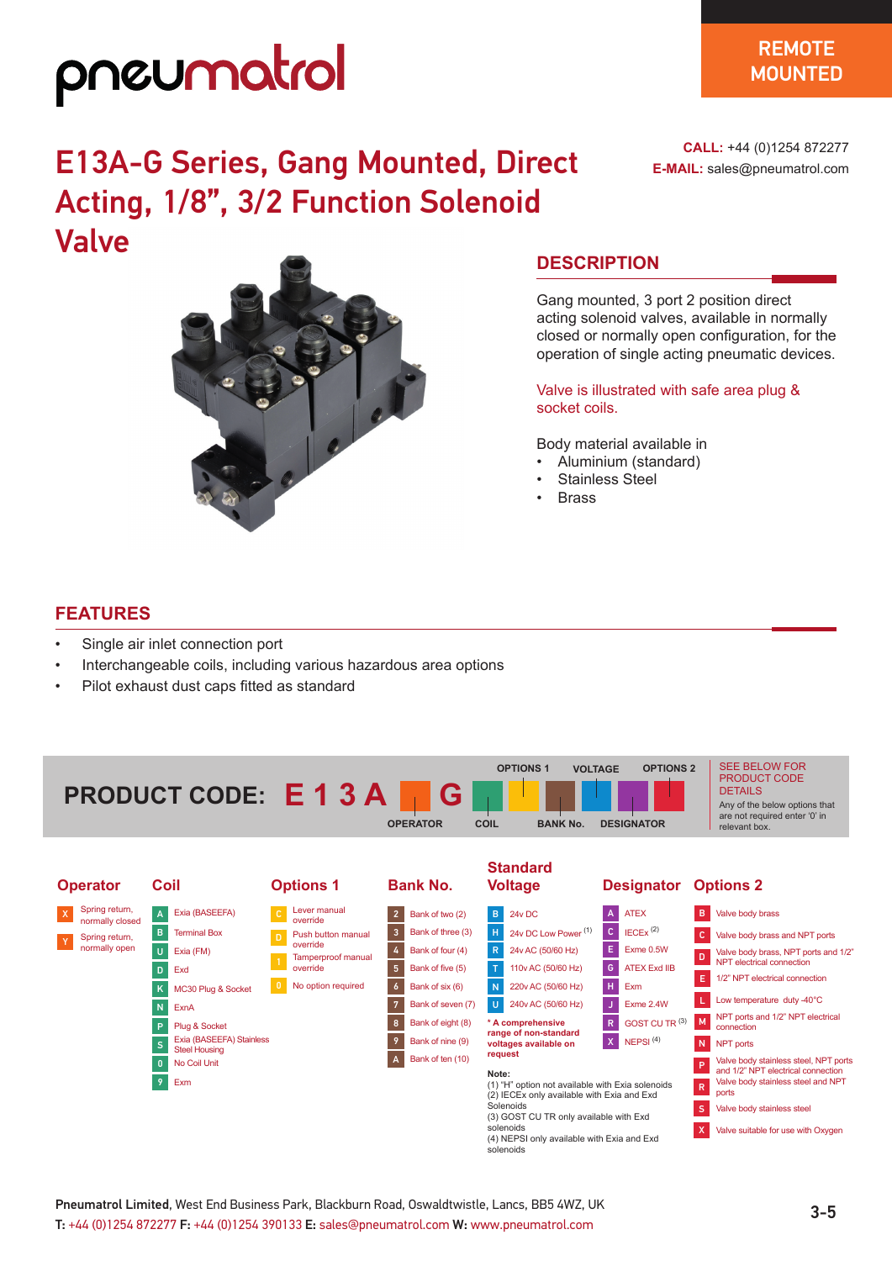## pneumatrol

### $\overline{\phantom{a}}$ **SOLENOTE MOUNTED**

**CALL:** +44 (0)1254 872277 **E-MAIL:** sales@pneumatrol.com

### E13A-G Series, Gang Mounted, Direct Acting, 1/8", 3/2 Function Solenoid Valve



### **DESCRIPTION**

Gang mounted, 3 port 2 position direct acting solenoid valves, available in normally closed or normally open configuration, for the operation of single acting pneumatic devices.

Valve is illustrated with safe area plug & socket coils.

Body material available in

- Aluminium (standard)
- Stainless Steel
- Brass

(2) IECEx only available with Exia and Exd

(3) GOST CU TR only available with Exd

(4) NEPSI only available with Exia and Exd

**Solenoids** 

solenoids

solenoids

### **FEATURES**

- Single air inlet connection port
- Interchangeable coils, including various hazardous area options
- Pilot exhaust dust caps fitted as standard



ports

S Valve body stainless steel X Valve suitable for use with Oxygen